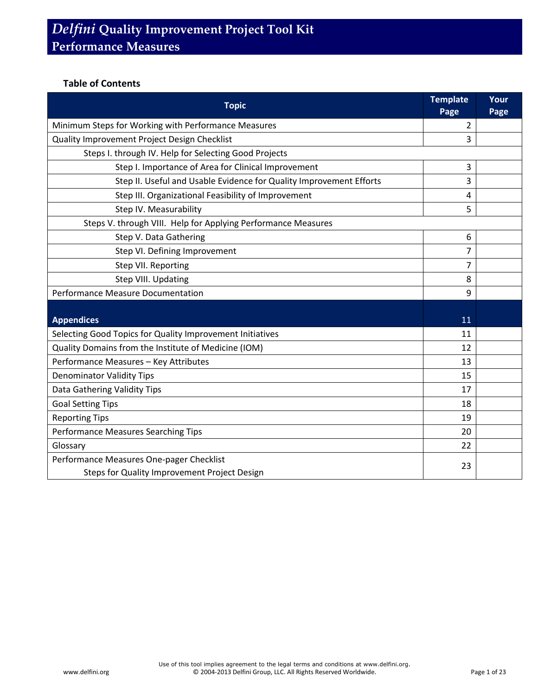#### **Table of Contents**

| <b>Topic</b>                                                        | <b>Template</b><br>Page | Your<br>Page |
|---------------------------------------------------------------------|-------------------------|--------------|
| Minimum Steps for Working with Performance Measures                 | 2                       |              |
| Quality Improvement Project Design Checklist                        | 3                       |              |
| Steps I. through IV. Help for Selecting Good Projects               |                         |              |
| Step I. Importance of Area for Clinical Improvement                 | 3                       |              |
| Step II. Useful and Usable Evidence for Quality Improvement Efforts | 3                       |              |
| Step III. Organizational Feasibility of Improvement                 | 4                       |              |
| Step IV. Measurability                                              | 5                       |              |
| Steps V. through VIII. Help for Applying Performance Measures       |                         |              |
| Step V. Data Gathering                                              | 6                       |              |
| Step VI. Defining Improvement                                       | 7                       |              |
| Step VII. Reporting                                                 | 7                       |              |
| Step VIII. Updating                                                 | 8                       |              |
| Performance Measure Documentation                                   |                         |              |
| <b>Appendices</b>                                                   | 11                      |              |
| Selecting Good Topics for Quality Improvement Initiatives           | 11                      |              |
| Quality Domains from the Institute of Medicine (IOM)                | 12                      |              |
| Performance Measures - Key Attributes                               | 13                      |              |
| <b>Denominator Validity Tips</b>                                    | 15                      |              |
| Data Gathering Validity Tips                                        | 17                      |              |
| <b>Goal Setting Tips</b>                                            |                         |              |
| <b>Reporting Tips</b>                                               |                         |              |
| Performance Measures Searching Tips                                 |                         |              |
| Glossary                                                            | 22                      |              |
| Performance Measures One-pager Checklist                            |                         |              |
| Steps for Quality Improvement Project Design                        | 23                      |              |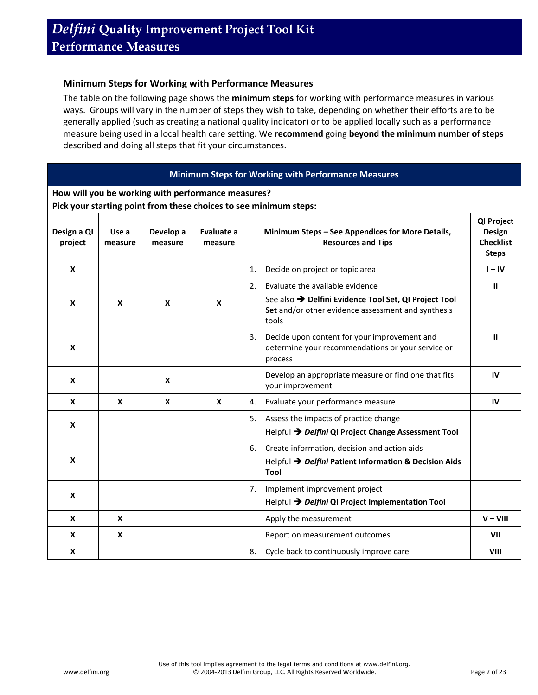#### **Minimum Steps for Working with Performance Measures**

The table on the following page shows the **minimum steps** for working with performance measures in various ways. Groups will vary in the number of steps they wish to take, depending on whether their efforts are to be generally applied (such as creating a national quality indicator) or to be applied locally such as a performance measure being used in a local health care setting. We **recommend** going **beyond the minimum number of steps** described and doing all steps that fit your circumstances.

#### **Minimum Steps for Working with Performance Measures**

**How will you be working with performance measures?** 

**Pick your starting point from these choices to see minimum steps:**

| Design a QI<br>project | Use a<br>measure | Develop a<br>measure | Evaluate a<br>measure |    | Minimum Steps - See Appendices for More Details,<br><b>Resources and Tips</b>                                                                           | QI Project<br>Design<br><b>Checklist</b><br><b>Steps</b> |
|------------------------|------------------|----------------------|-----------------------|----|---------------------------------------------------------------------------------------------------------------------------------------------------------|----------------------------------------------------------|
| X                      |                  |                      |                       | 1. | Decide on project or topic area                                                                                                                         | $I - IV$                                                 |
| X                      | $\mathbf x$      | X                    | X                     | 2. | Evaluate the available evidence<br>See also → Delfini Evidence Tool Set, QI Project Tool<br>Set and/or other evidence assessment and synthesis<br>tools | Ш                                                        |
| X                      |                  |                      |                       | 3. | Decide upon content for your improvement and<br>determine your recommendations or your service or<br>process                                            | Ш                                                        |
| X                      |                  | X                    |                       |    | Develop an appropriate measure or find one that fits<br>your improvement                                                                                | IV                                                       |
| X                      | $\boldsymbol{x}$ | $\boldsymbol{x}$     | $\mathbf{x}$          | 4. | Evaluate your performance measure                                                                                                                       | IV                                                       |
| X                      |                  |                      |                       | 5. | Assess the impacts of practice change<br>Helpful → Delfini QI Project Change Assessment Tool                                                            |                                                          |
| X                      |                  |                      |                       | 6. | Create information, decision and action aids<br>Helpful → Delfini Patient Information & Decision Aids<br>Tool                                           |                                                          |
| X                      |                  |                      |                       | 7. | Implement improvement project<br>Helpful → Delfini QI Project Implementation Tool                                                                       |                                                          |
| X                      | X                |                      |                       |    | Apply the measurement                                                                                                                                   | $V - VIII$                                               |
| X                      | X                |                      |                       |    | Report on measurement outcomes                                                                                                                          | VII                                                      |
| X                      |                  |                      |                       | 8. | Cycle back to continuously improve care                                                                                                                 | <b>VIII</b>                                              |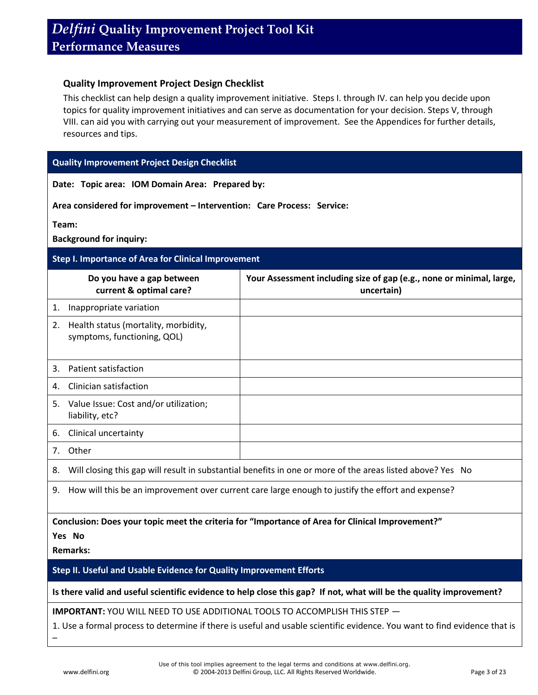#### **Quality Improvement Project Design Checklist**

This checklist can help design a quality improvement initiative. Steps I. through IV. can help you decide upon topics for quality improvement initiatives and can serve as documentation for your decision. Steps V, through VIII. can aid you with carrying out your measurement of improvement. See the Appendices for further details, resources and tips.

#### **Quality Improvement Project Design Checklist**

**Date: Topic area: IOM Domain Area: Prepared by:** 

**Area considered for improvement – Intervention: Care Process: Service:** 

**Team:** 

**Background for inquiry:** 

#### **Step I. Importance of Area for Clinical Improvement**

|    | Do you have a gap between<br>current & optimal care?                                              | Your Assessment including size of gap (e.g., none or minimal, large,<br>uncertain)                         |
|----|---------------------------------------------------------------------------------------------------|------------------------------------------------------------------------------------------------------------|
| 1. | Inappropriate variation                                                                           |                                                                                                            |
| 2. | Health status (mortality, morbidity,<br>symptoms, functioning, QOL)                               |                                                                                                            |
| 3. | Patient satisfaction                                                                              |                                                                                                            |
| 4. | Clinician satisfaction                                                                            |                                                                                                            |
| 5. | Value Issue: Cost and/or utilization;<br>liability, etc?                                          |                                                                                                            |
| 6. | Clinical uncertainty                                                                              |                                                                                                            |
|    | 7. Other                                                                                          |                                                                                                            |
| 8. |                                                                                                   | Will closing this gap will result in substantial benefits in one or more of the areas listed above? Yes No |
| 9. | How will this be an improvement over current care large enough to justify the effort and expense? |                                                                                                            |

**Conclusion: Does your topic meet the criteria for "Importance of Area for Clinical Improvement?"** 

**Yes No** 

**Remarks:**

–

**Step II. Useful and Usable Evidence for Quality Improvement Efforts**

**Is there valid and useful scientific evidence to help close this gap? If not, what will be the quality improvement?**

**IMPORTANT:** YOU WILL NEED TO USE ADDITIONAL TOOLS TO ACCOMPLISH THIS STEP —

1. Use a formal process to determine if there is useful and usable scientific evidence. You want to find evidence that is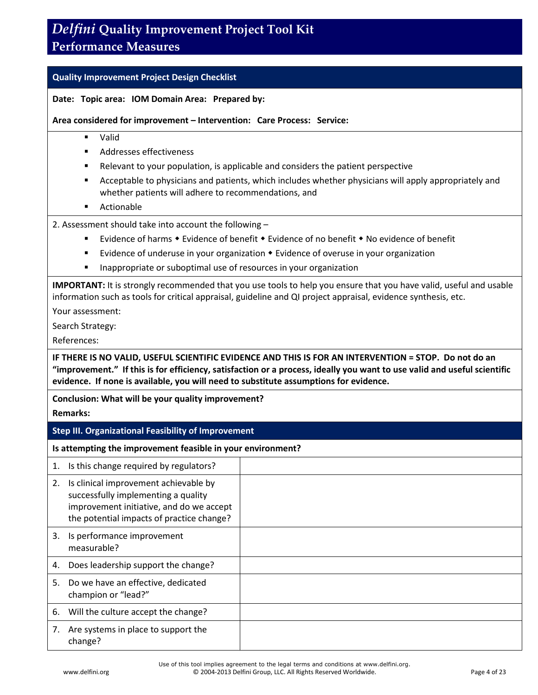### **Performance Measures**

#### **Quality Improvement Project Design Checklist**

#### **Date: Topic area: IOM Domain Area: Prepared by:**

**Area considered for improvement – Intervention: Care Process: Service:** 

- Valid
- Addresses effectiveness
- Relevant to your population, is applicable and considers the patient perspective
- Acceptable to physicians and patients, which includes whether physicians will apply appropriately and whether patients will adhere to recommendations, and
- Actionable

#### 2. Assessment should take into account the following –

- Evidence of harms  $\bullet$  Evidence of benefit  $\bullet$  Evidence of no benefit  $\bullet$  No evidence of benefit
- **E** Evidence of underuse in your organization  $\bullet$  Evidence of overuse in your organization
- **IF** Inappropriate or suboptimal use of resources in your organization

**IMPORTANT:** It is strongly recommended that you use tools to help you ensure that you have valid, useful and usable information such as tools for critical appraisal, guideline and QI project appraisal, evidence synthesis, etc.

Your assessment:

Search Strategy:

References:

**IF THERE IS NO VALID, USEFUL SCIENTIFIC EVIDENCE AND THIS IS FOR AN INTERVENTION = STOP. Do not do an "improvement." If this is for efficiency, satisfaction or a process, ideally you want to use valid and useful scientific evidence. If none is available, you will need to substitute assumptions for evidence.** 

**Conclusion: What will be your quality improvement?** 

**Remarks:**

#### **Step III. Organizational Feasibility of Improvement**

**Is attempting the improvement feasible in your environment?**

|    | Is this change required by regulators?                                                                                                                                |  |
|----|-----------------------------------------------------------------------------------------------------------------------------------------------------------------------|--|
| 2. | Is clinical improvement achievable by<br>successfully implementing a quality<br>improvement initiative, and do we accept<br>the potential impacts of practice change? |  |
| 3. | Is performance improvement<br>measurable?                                                                                                                             |  |
| 4. | Does leadership support the change?                                                                                                                                   |  |
| 5. | Do we have an effective, dedicated<br>champion or "lead?"                                                                                                             |  |
| 6. | Will the culture accept the change?                                                                                                                                   |  |
| 7. | Are systems in place to support the<br>change?                                                                                                                        |  |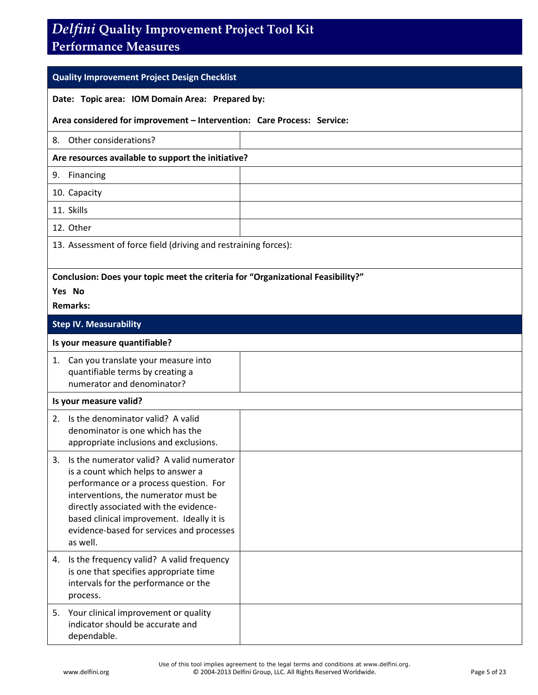### **Performance Measures**

#### **Quality Improvement Project Design Checklist**

#### **Date: Topic area: IOM Domain Area: Prepared by:**

#### **Area considered for improvement – Intervention: Care Process: Service:**

|  | 8. Other considerations? |
|--|--------------------------|
|  |                          |

#### **Are resources available to support the initiative?**

9. Financing

10. Capacity

11. Skills

12. Other

13. Assessment of force field (driving and restraining forces):

#### **Conclusion: Does your topic meet the criteria for "Organizational Feasibility?"**

**Yes No** 

#### **Remarks:**

#### **Step IV. Measurability**

#### **Is your measure quantifiable?**

| 1. Can you translate your measure into<br>quantifiable terms by creating a<br>numerator and denominator? |  |
|----------------------------------------------------------------------------------------------------------|--|
|                                                                                                          |  |

#### **Is your measure valid?**

|    | 2. Is the denominator valid? A valid<br>denominator is one which has the<br>appropriate inclusions and exclusions.                                                                                                                                                                                                |  |
|----|-------------------------------------------------------------------------------------------------------------------------------------------------------------------------------------------------------------------------------------------------------------------------------------------------------------------|--|
| 3. | Is the numerator valid? A valid numerator<br>is a count which helps to answer a<br>performance or a process question. For<br>interventions, the numerator must be<br>directly associated with the evidence-<br>based clinical improvement. Ideally it is<br>evidence-based for services and processes<br>as well. |  |
| 4. | Is the frequency valid? A valid frequency<br>is one that specifies appropriate time<br>intervals for the performance or the<br>process.                                                                                                                                                                           |  |
|    | 5. Your clinical improvement or quality<br>indicator should be accurate and<br>dependable.                                                                                                                                                                                                                        |  |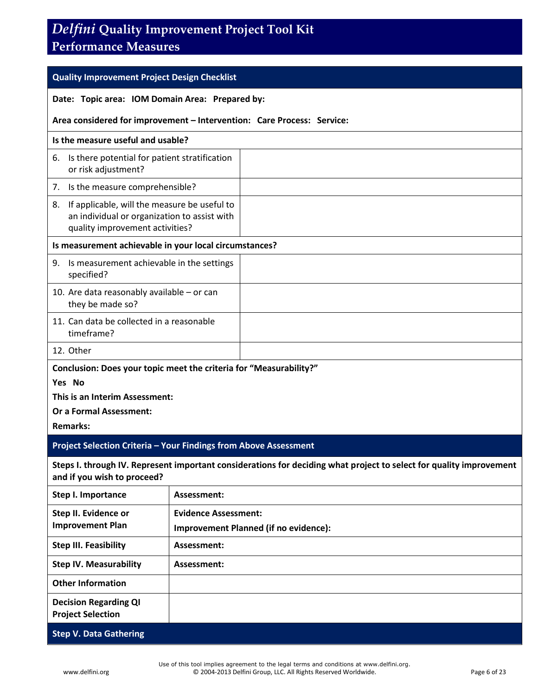### **Performance Measures**

| <b>Quality Improvement Project Design Checklist</b>                     |                                                                                                                                 |  |  |
|-------------------------------------------------------------------------|---------------------------------------------------------------------------------------------------------------------------------|--|--|
| Date: Topic area: IOM Domain Area: Prepared by:                         |                                                                                                                                 |  |  |
| Area considered for improvement - Intervention: Care Process: Service:  |                                                                                                                                 |  |  |
| Is the measure useful and usable?                                       |                                                                                                                                 |  |  |
| 6. Is there potential for patient stratification<br>or risk adjustment? |                                                                                                                                 |  |  |
| 7. Is the measure comprehensible?                                       |                                                                                                                                 |  |  |
| 8.                                                                      | If applicable, will the measure be useful to<br>an individual or organization to assist with<br>quality improvement activities? |  |  |
| Is measurement achievable in your local circumstances?                  |                                                                                                                                 |  |  |
| 9. Is measurement achievable in the settings<br>specified?              |                                                                                                                                 |  |  |
| they be made so?                                                        | 10. Are data reasonably available $-$ or can                                                                                    |  |  |
| timeframe?                                                              | 11. Can data be collected in a reasonable                                                                                       |  |  |
| 12. Other                                                               |                                                                                                                                 |  |  |
| Conclusion: Does your topic meet the criteria for "Measurability?"      |                                                                                                                                 |  |  |
| Yes No                                                                  |                                                                                                                                 |  |  |
| This is an Interim Assessment:                                          |                                                                                                                                 |  |  |
| <b>Or a Formal Assessment:</b>                                          |                                                                                                                                 |  |  |
|                                                                         | <b>Remarks:</b>                                                                                                                 |  |  |
| Project Selection Criteria - Your Findings from Above Assessment        |                                                                                                                                 |  |  |
| and if you wish to proceed?                                             | Steps I. through IV. Represent important considerations for deciding what project to select for quality improvement             |  |  |
| Step I. Importance                                                      | Assessment:                                                                                                                     |  |  |
| Step II. Evidence or<br><b>Improvement Plan</b>                         | <b>Evidence Assessment:</b><br><b>Improvement Planned (if no evidence):</b>                                                     |  |  |
| <b>Step III. Feasibility</b>                                            | Assessment:                                                                                                                     |  |  |
| <b>Step IV. Measurability</b>                                           | Assessment:                                                                                                                     |  |  |
| <b>Other Information</b>                                                |                                                                                                                                 |  |  |
| <b>Decision Regarding QI</b><br><b>Project Selection</b>                |                                                                                                                                 |  |  |
| <b>Step V. Data Gathering</b>                                           |                                                                                                                                 |  |  |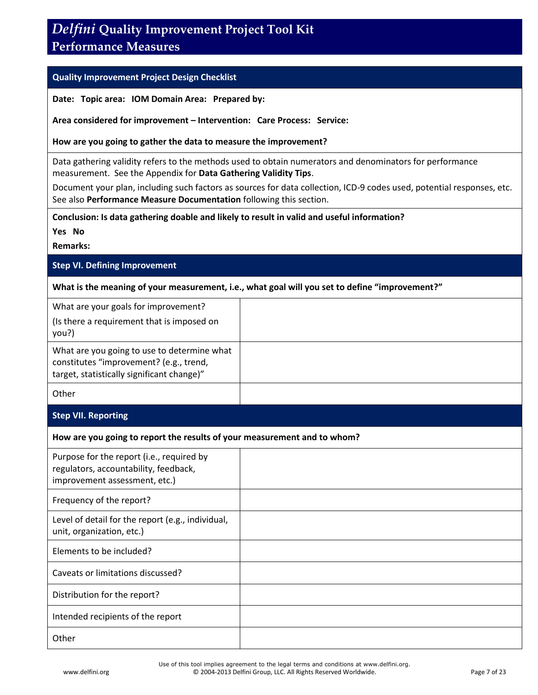### **Performance Measures**

#### **Quality Improvement Project Design Checklist**

**Date: Topic area: IOM Domain Area: Prepared by:** 

**Area considered for improvement – Intervention: Care Process: Service:** 

**How are you going to gather the data to measure the improvement?**

Data gathering validity refers to the methods used to obtain numerators and denominators for performance measurement. See the Appendix for **Data Gathering Validity Tips**.

Document your plan, including such factors as sources for data collection, ICD-9 codes used, potential responses, etc. See also **Performance Measure Documentation** following this section.

**Conclusion: Is data gathering doable and likely to result in valid and useful information?** 

**Yes No** 

**Remarks:**

#### **Step VI. Defining Improvement**

**What is the meaning of your measurement, i.e., what goal will you set to define "improvement?"**

| What are your goals for improvement?<br>(Is there a requirement that is imposed on<br>you?)                                          |  |
|--------------------------------------------------------------------------------------------------------------------------------------|--|
| What are you going to use to determine what<br>constitutes "improvement? (e.g., trend,<br>target, statistically significant change)" |  |
| Other                                                                                                                                |  |

#### **Step VII. Reporting**

#### **How are you going to report the results of your measurement and to whom?**

| Purpose for the report (i.e., required by<br>regulators, accountability, feedback,<br>improvement assessment, etc.) |  |
|---------------------------------------------------------------------------------------------------------------------|--|
| Frequency of the report?                                                                                            |  |
| Level of detail for the report (e.g., individual,<br>unit, organization, etc.)                                      |  |
| Elements to be included?                                                                                            |  |
| Caveats or limitations discussed?                                                                                   |  |
| Distribution for the report?                                                                                        |  |
| Intended recipients of the report                                                                                   |  |
| Other                                                                                                               |  |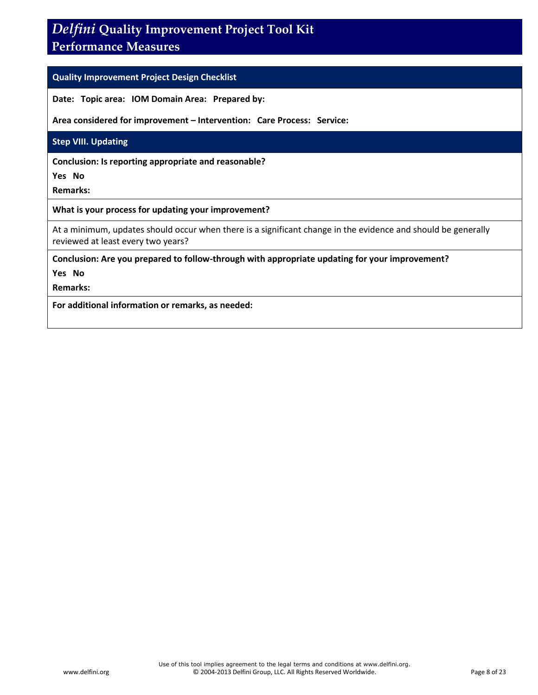### **Performance Measures**

#### **Quality Improvement Project Design Checklist**

**Date: Topic area: IOM Domain Area: Prepared by:** 

**Area considered for improvement – Intervention: Care Process: Service:** 

#### **Step VIII. Updating**

**Conclusion: Is reporting appropriate and reasonable?** 

**Yes No** 

**Remarks:**

#### **What is your process for updating your improvement?**

At a minimum, updates should occur when there is a significant change in the evidence and should be generally reviewed at least every two years?

**Conclusion: Are you prepared to follow-through with appropriate updating for your improvement?** 

**Yes No** 

**Remarks:**

**For additional information or remarks, as needed:**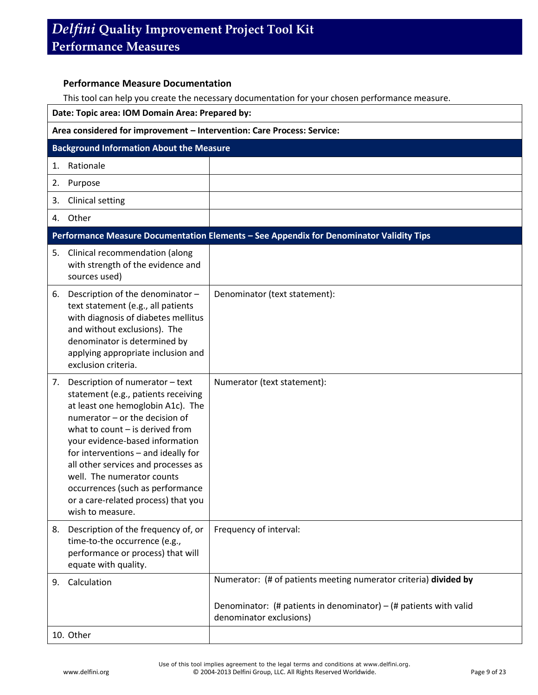#### **Performance Measure Documentation**

This tool can help you create the necessary documentation for your chosen performance measure.

| Date: Topic area: IOM Domain Area: Prepared by:                                                                                                                                                                                                                                                                                                                                                                                        |                                                                                                |  |
|----------------------------------------------------------------------------------------------------------------------------------------------------------------------------------------------------------------------------------------------------------------------------------------------------------------------------------------------------------------------------------------------------------------------------------------|------------------------------------------------------------------------------------------------|--|
| Area considered for improvement - Intervention: Care Process: Service:                                                                                                                                                                                                                                                                                                                                                                 |                                                                                                |  |
| <b>Background Information About the Measure</b>                                                                                                                                                                                                                                                                                                                                                                                        |                                                                                                |  |
| Rationale<br>1.                                                                                                                                                                                                                                                                                                                                                                                                                        |                                                                                                |  |
| Purpose<br>2.                                                                                                                                                                                                                                                                                                                                                                                                                          |                                                                                                |  |
| <b>Clinical setting</b><br>3.                                                                                                                                                                                                                                                                                                                                                                                                          |                                                                                                |  |
| Other<br>4.                                                                                                                                                                                                                                                                                                                                                                                                                            |                                                                                                |  |
|                                                                                                                                                                                                                                                                                                                                                                                                                                        | Performance Measure Documentation Elements - See Appendix for Denominator Validity Tips        |  |
| Clinical recommendation (along<br>5.<br>with strength of the evidence and<br>sources used)                                                                                                                                                                                                                                                                                                                                             |                                                                                                |  |
| Description of the denominator -<br>6.<br>text statement (e.g., all patients<br>with diagnosis of diabetes mellitus<br>and without exclusions). The<br>denominator is determined by<br>applying appropriate inclusion and<br>exclusion criteria.                                                                                                                                                                                       | Denominator (text statement):                                                                  |  |
| Description of numerator - text<br>7.<br>statement (e.g., patients receiving<br>at least one hemoglobin A1c). The<br>numerator - or the decision of<br>what to count $-$ is derived from<br>your evidence-based information<br>for interventions - and ideally for<br>all other services and processes as<br>well. The numerator counts<br>occurrences (such as performance<br>or a care-related process) that you<br>wish to measure. | Numerator (text statement):                                                                    |  |
| Description of the frequency of, or<br>8.<br>time-to-the occurrence (e.g.,<br>performance or process) that will<br>equate with quality.                                                                                                                                                                                                                                                                                                | Frequency of interval:                                                                         |  |
| Calculation<br>9.                                                                                                                                                                                                                                                                                                                                                                                                                      | Numerator: (# of patients meeting numerator criteria) divided by                               |  |
|                                                                                                                                                                                                                                                                                                                                                                                                                                        | Denominator: (# patients in denominator) $-$ (# patients with valid<br>denominator exclusions) |  |
| 10. Other                                                                                                                                                                                                                                                                                                                                                                                                                              |                                                                                                |  |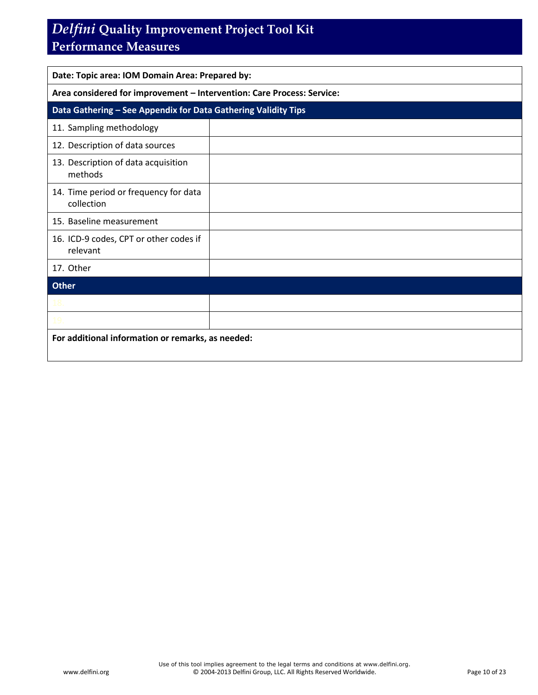### **Performance Measures**

| Date: Topic area: IOM Domain Area: Prepared by:                        |  |  |
|------------------------------------------------------------------------|--|--|
| Area considered for improvement - Intervention: Care Process: Service: |  |  |
| Data Gathering - See Appendix for Data Gathering Validity Tips         |  |  |
| 11. Sampling methodology                                               |  |  |
| 12. Description of data sources                                        |  |  |
| 13. Description of data acquisition<br>methods                         |  |  |
| 14. Time period or frequency for data<br>collection                    |  |  |
| 15. Baseline measurement                                               |  |  |
| 16. ICD-9 codes, CPT or other codes if<br>relevant                     |  |  |
| 17. Other                                                              |  |  |
| <b>Other</b>                                                           |  |  |
| 18.                                                                    |  |  |
| 19                                                                     |  |  |
| For additional information or remarks, as needed:                      |  |  |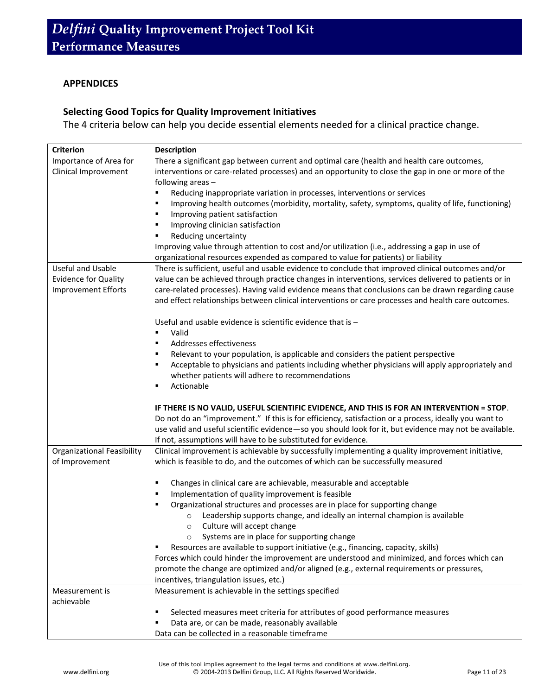#### **APPENDICES**

#### **Selecting Good Topics for Quality Improvement Initiatives**

The 4 criteria below can help you decide essential elements needed for a clinical practice change.

| <b>Criterion</b>                  | <b>Description</b>                                                                                     |  |  |
|-----------------------------------|--------------------------------------------------------------------------------------------------------|--|--|
| Importance of Area for            | There a significant gap between current and optimal care (health and health care outcomes,             |  |  |
| Clinical Improvement              | interventions or care-related processes) and an opportunity to close the gap in one or more of the     |  |  |
|                                   | following areas -                                                                                      |  |  |
|                                   | Reducing inappropriate variation in processes, interventions or services<br>٠                          |  |  |
|                                   | Improving health outcomes (morbidity, mortality, safety, symptoms, quality of life, functioning)<br>٠  |  |  |
|                                   | Improving patient satisfaction<br>٠                                                                    |  |  |
|                                   | Improving clinician satisfaction<br>٠                                                                  |  |  |
|                                   | Reducing uncertainty<br>٠                                                                              |  |  |
|                                   | Improving value through attention to cost and/or utilization (i.e., addressing a gap in use of         |  |  |
|                                   | organizational resources expended as compared to value for patients) or liability                      |  |  |
| <b>Useful and Usable</b>          | There is sufficient, useful and usable evidence to conclude that improved clinical outcomes and/or     |  |  |
| <b>Evidence for Quality</b>       | value can be achieved through practice changes in interventions, services delivered to patients or in  |  |  |
| <b>Improvement Efforts</b>        | care-related processes). Having valid evidence means that conclusions can be drawn regarding cause     |  |  |
|                                   |                                                                                                        |  |  |
|                                   | and effect relationships between clinical interventions or care processes and health care outcomes.    |  |  |
|                                   |                                                                                                        |  |  |
|                                   | Useful and usable evidence is scientific evidence that is -                                            |  |  |
|                                   | Valid<br>٠                                                                                             |  |  |
|                                   | Addresses effectiveness<br>٠                                                                           |  |  |
|                                   | Relevant to your population, is applicable and considers the patient perspective<br>٠                  |  |  |
|                                   | Acceptable to physicians and patients including whether physicians will apply appropriately and<br>٠   |  |  |
|                                   | whether patients will adhere to recommendations                                                        |  |  |
|                                   | Actionable<br>٠                                                                                        |  |  |
|                                   |                                                                                                        |  |  |
|                                   | IF THERE IS NO VALID, USEFUL SCIENTIFIC EVIDENCE, AND THIS IS FOR AN INTERVENTION = STOP.              |  |  |
|                                   | Do not do an "improvement." If this is for efficiency, satisfaction or a process, ideally you want to  |  |  |
|                                   | use valid and useful scientific evidence-so you should look for it, but evidence may not be available. |  |  |
|                                   | If not, assumptions will have to be substituted for evidence.                                          |  |  |
| <b>Organizational Feasibility</b> | Clinical improvement is achievable by successfully implementing a quality improvement initiative,      |  |  |
| of Improvement                    | which is feasible to do, and the outcomes of which can be successfully measured                        |  |  |
|                                   |                                                                                                        |  |  |
|                                   | Changes in clinical care are achievable, measurable and acceptable<br>٠                                |  |  |
|                                   | Implementation of quality improvement is feasible<br>٠                                                 |  |  |
|                                   | Organizational structures and processes are in place for supporting change<br>٠                        |  |  |
|                                   | Leadership supports change, and ideally an internal champion is available<br>$\circ$                   |  |  |
|                                   | Culture will accept change<br>$\circ$                                                                  |  |  |
|                                   | Systems are in place for supporting change                                                             |  |  |
|                                   | Resources are available to support initiative (e.g., financing, capacity, skills)<br>٠                 |  |  |
|                                   | Forces which could hinder the improvement are understood and minimized, and forces which can           |  |  |
|                                   | promote the change are optimized and/or aligned (e.g., external requirements or pressures,             |  |  |
|                                   | incentives, triangulation issues, etc.)                                                                |  |  |
| Measurement is                    | Measurement is achievable in the settings specified                                                    |  |  |
| achievable                        |                                                                                                        |  |  |
|                                   | Selected measures meet criteria for attributes of good performance measures<br>٠                       |  |  |
|                                   | Data are, or can be made, reasonably available<br>٠                                                    |  |  |
|                                   | Data can be collected in a reasonable timeframe                                                        |  |  |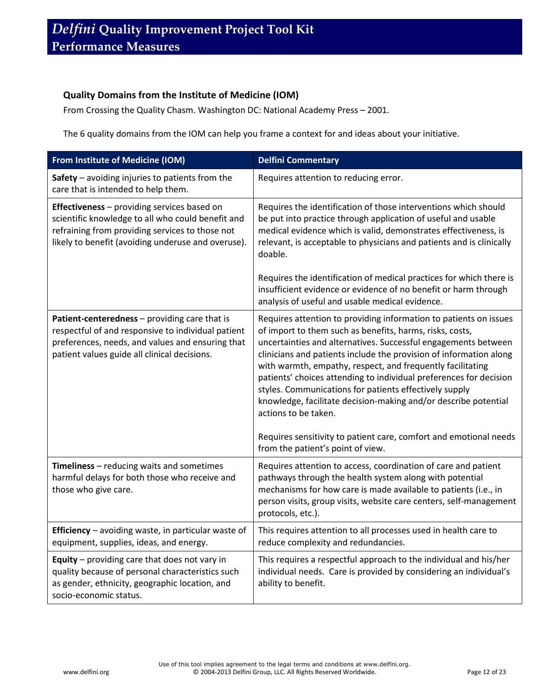#### **Quality Domains from the Institute of Medicine (IOM)**

From Crossing the Quality Chasm. Washington DC: National Academy Press – 2001.

The 6 quality domains from the IOM can help you frame a context for and ideas about your initiative.

| From Institute of Medicine (IOM)                                                                                                                                                                          | <b>Delfini Commentary</b>                                                                                                                                                                                                                                                                                                                                                                                                                                                                                                                                                                                                                                                |
|-----------------------------------------------------------------------------------------------------------------------------------------------------------------------------------------------------------|--------------------------------------------------------------------------------------------------------------------------------------------------------------------------------------------------------------------------------------------------------------------------------------------------------------------------------------------------------------------------------------------------------------------------------------------------------------------------------------------------------------------------------------------------------------------------------------------------------------------------------------------------------------------------|
| Safety $-$ avoiding injuries to patients from the<br>care that is intended to help them.                                                                                                                  | Requires attention to reducing error.                                                                                                                                                                                                                                                                                                                                                                                                                                                                                                                                                                                                                                    |
| Effectiveness - providing services based on<br>scientific knowledge to all who could benefit and<br>refraining from providing services to those not<br>likely to benefit (avoiding underuse and overuse). | Requires the identification of those interventions which should<br>be put into practice through application of useful and usable<br>medical evidence which is valid, demonstrates effectiveness, is<br>relevant, is acceptable to physicians and patients and is clinically<br>doable.                                                                                                                                                                                                                                                                                                                                                                                   |
|                                                                                                                                                                                                           | Requires the identification of medical practices for which there is<br>insufficient evidence or evidence of no benefit or harm through<br>analysis of useful and usable medical evidence.                                                                                                                                                                                                                                                                                                                                                                                                                                                                                |
| Patient-centeredness - providing care that is<br>respectful of and responsive to individual patient<br>preferences, needs, and values and ensuring that<br>patient values guide all clinical decisions.   | Requires attention to providing information to patients on issues<br>of import to them such as benefits, harms, risks, costs,<br>uncertainties and alternatives. Successful engagements between<br>clinicians and patients include the provision of information along<br>with warmth, empathy, respect, and frequently facilitating<br>patients' choices attending to individual preferences for decision<br>styles. Communications for patients effectively supply<br>knowledge, facilitate decision-making and/or describe potential<br>actions to be taken.<br>Requires sensitivity to patient care, comfort and emotional needs<br>from the patient's point of view. |
| Timeliness - reducing waits and sometimes<br>harmful delays for both those who receive and<br>those who give care.                                                                                        | Requires attention to access, coordination of care and patient<br>pathways through the health system along with potential<br>mechanisms for how care is made available to patients (i.e., in<br>person visits, group visits, website care centers, self-management<br>protocols, etc.).                                                                                                                                                                                                                                                                                                                                                                                  |
| Efficiency - avoiding waste, in particular waste of<br>equipment, supplies, ideas, and energy.                                                                                                            | This requires attention to all processes used in health care to<br>reduce complexity and redundancies.                                                                                                                                                                                                                                                                                                                                                                                                                                                                                                                                                                   |
| Equity - providing care that does not vary in<br>quality because of personal characteristics such<br>as gender, ethnicity, geographic location, and<br>socio-economic status.                             | This requires a respectful approach to the individual and his/her<br>individual needs. Care is provided by considering an individual's<br>ability to benefit.                                                                                                                                                                                                                                                                                                                                                                                                                                                                                                            |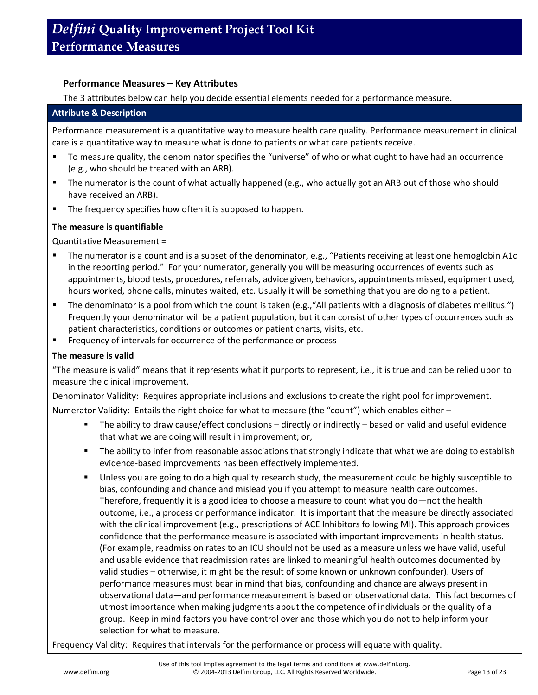#### **Performance Measures – Key Attributes**

The 3 attributes below can help you decide essential elements needed for a performance measure.

#### **Attribute & Description**

Performance measurement is a quantitative way to measure health care quality. Performance measurement in clinical care is a quantitative way to measure what is done to patients or what care patients receive.

- To measure quality, the denominator specifies the "universe" of who or what ought to have had an occurrence (e.g., who should be treated with an ARB).
- The numerator is the count of what actually happened (e.g., who actually got an ARB out of those who should have received an ARB).
- **The frequency specifies how often it is supposed to happen.**

#### **The measure is quantifiable**

Quantitative Measurement =

- The numerator is a count and is a subset of the denominator, e.g., "Patients receiving at least one hemoglobin A1c in the reporting period." For your numerator, generally you will be measuring occurrences of events such as appointments, blood tests, procedures, referrals, advice given, behaviors, appointments missed, equipment used, hours worked, phone calls, minutes waited, etc. Usually it will be something that you are doing to a patient.
- The denominator is a pool from which the count is taken (e.g.,"All patients with a diagnosis of diabetes mellitus.") Frequently your denominator will be a patient population, but it can consist of other types of occurrences such as patient characteristics, conditions or outcomes or patient charts, visits, etc.
- **FIM** Frequency of intervals for occurrence of the performance or process

#### **The measure is valid**

"The measure is valid" means that it represents what it purports to represent, i.e., it is true and can be relied upon to measure the clinical improvement.

Denominator Validity: Requires appropriate inclusions and exclusions to create the right pool for improvement.

Numerator Validity: Entails the right choice for what to measure (the "count") which enables either –

- The ability to draw cause/effect conclusions directly or indirectly based on valid and useful evidence that what we are doing will result in improvement; or,
- The ability to infer from reasonable associations that strongly indicate that what we are doing to establish evidence-based improvements has been effectively implemented.
- **Unless you are going to do a high quality research study, the measurement could be highly susceptible to** bias, confounding and chance and mislead you if you attempt to measure health care outcomes. Therefore, frequently it is a good idea to choose a measure to count what you do—not the health outcome, i.e., a process or performance indicator. It is important that the measure be directly associated with the clinical improvement (e.g., prescriptions of ACE Inhibitors following MI). This approach provides confidence that the performance measure is associated with important improvements in health status. (For example, readmission rates to an ICU should not be used as a measure unless we have valid, useful and usable evidence that readmission rates are linked to meaningful health outcomes documented by valid studies – otherwise, it might be the result of some known or unknown confounder). Users of performance measures must bear in mind that bias, confounding and chance are always present in observational data—and performance measurement is based on observational data. This fact becomes of utmost importance when making judgments about the competence of individuals or the quality of a group. Keep in mind factors you have control over and those which you do not to help inform your selection for what to measure.

Frequency Validity: Requires that intervals for the performance or process will equate with quality.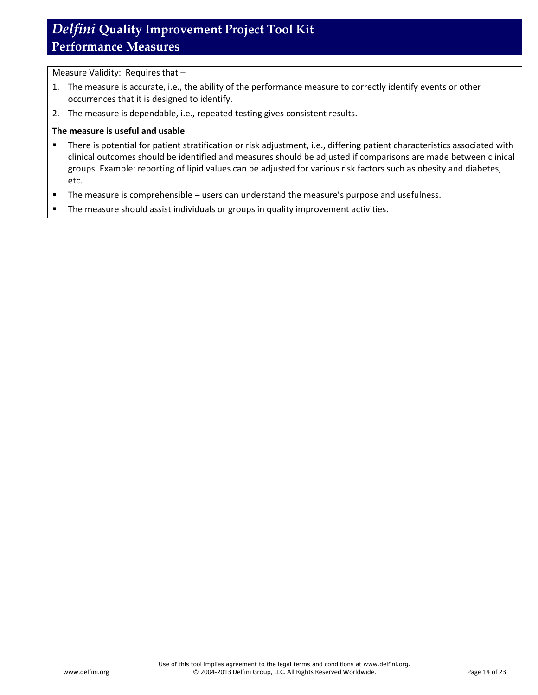Measure Validity: Requires that –

- 1. The measure is accurate, i.e., the ability of the performance measure to correctly identify events or other occurrences that it is designed to identify.
- 2. The measure is dependable, i.e., repeated testing gives consistent results.

#### **The measure is useful and usable**

- **There is potential for patient stratification or risk adjustment, i.e., differing patient characteristics associated with** clinical outcomes should be identified and measures should be adjusted if comparisons are made between clinical groups. Example: reporting of lipid values can be adjusted for various risk factors such as obesity and diabetes, etc.
- The measure is comprehensible users can understand the measure's purpose and usefulness.
- **The measure should assist individuals or groups in quality improvement activities.**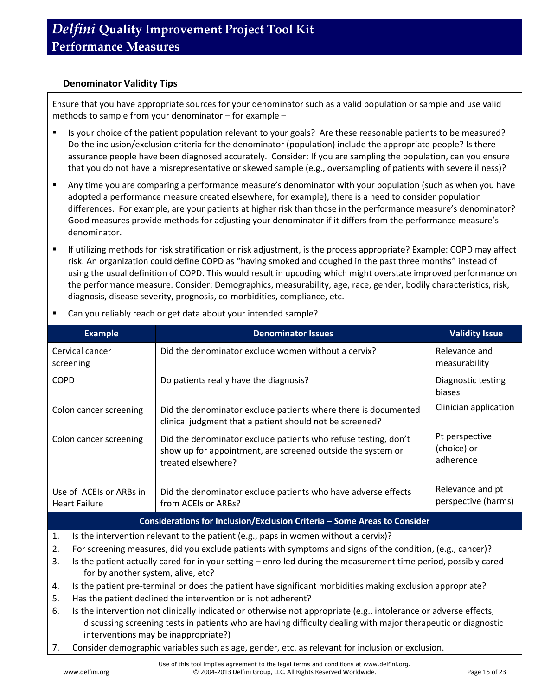#### **Denominator Validity Tips**

Ensure that you have appropriate sources for your denominator such as a valid population or sample and use valid methods to sample from your denominator – for example –

- Is your choice of the patient population relevant to your goals? Are these reasonable patients to be measured? Do the inclusion/exclusion criteria for the denominator (population) include the appropriate people? Is there assurance people have been diagnosed accurately. Consider: If you are sampling the population, can you ensure that you do not have a misrepresentative or skewed sample (e.g., oversampling of patients with severe illness)?
- Any time you are comparing a performance measure's denominator with your population (such as when you have adopted a performance measure created elsewhere, for example), there is a need to consider population differences. For example, are your patients at higher risk than those in the performance measure's denominator? Good measures provide methods for adjusting your denominator if it differs from the performance measure's denominator.
- If utilizing methods for risk stratification or risk adjustment, is the process appropriate? Example: COPD may affect risk. An organization could define COPD as "having smoked and coughed in the past three months" instead of using the usual definition of COPD. This would result in upcoding which might overstate improved performance on the performance measure. Consider: Demographics, measurability, age, race, gender, bodily characteristics, risk, diagnosis, disease severity, prognosis, co-morbidities, compliance, etc.

| <b>Example</b>                                                           | <b>Denominator Issues</b>                                                                                                                           | <b>Validity Issue</b>                      |  |  |
|--------------------------------------------------------------------------|-----------------------------------------------------------------------------------------------------------------------------------------------------|--------------------------------------------|--|--|
| Cervical cancer<br>screening                                             | Did the denominator exclude women without a cervix?                                                                                                 | Relevance and<br>measurability             |  |  |
| <b>COPD</b>                                                              | Do patients really have the diagnosis?                                                                                                              | Diagnostic testing<br>biases               |  |  |
| Colon cancer screening                                                   | Did the denominator exclude patients where there is documented<br>clinical judgment that a patient should not be screened?                          | Clinician application                      |  |  |
| Colon cancer screening                                                   | Did the denominator exclude patients who refuse testing, don't<br>show up for appointment, are screened outside the system or<br>treated elsewhere? | Pt perspective<br>(choice) or<br>adherence |  |  |
| Use of ACEIs or ARBs in<br><b>Heart Failure</b>                          | Did the denominator exclude patients who have adverse effects<br>from ACEIs or ARBs?                                                                | Relevance and pt<br>perspective (harms)    |  |  |
| Considerations for Inclusion/Exclusion Criteria - Some Areas to Consider |                                                                                                                                                     |                                            |  |  |

Can you reliably reach or get data about your intended sample?

- 1. Is the intervention relevant to the patient (e.g., paps in women without a cervix)?
- 2. For screening measures, did you exclude patients with symptoms and signs of the condition, (e.g., cancer)?
- 3. Is the patient actually cared for in your setting enrolled during the measurement time period, possibly cared for by another system, alive, etc?
- 4. Is the patient pre-terminal or does the patient have significant morbidities making exclusion appropriate?
- 5. Has the patient declined the intervention or is not adherent?
- 6. Is the intervention not clinically indicated or otherwise not appropriate (e.g., intolerance or adverse effects, discussing screening tests in patients who are having difficulty dealing with major therapeutic or diagnostic interventions may be inappropriate?)
- 7. Consider demographic variables such as age, gender, etc. as relevant for inclusion or exclusion.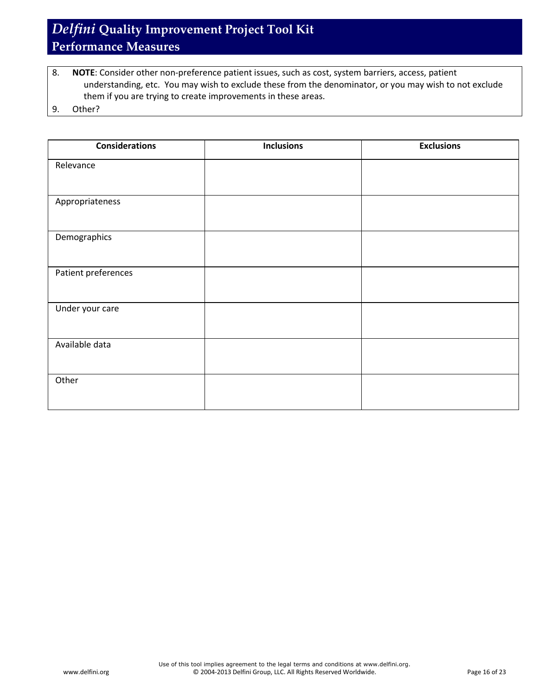8. **NOTE**: Consider other non-preference patient issues, such as cost, system barriers, access, patient understanding, etc. You may wish to exclude these from the denominator, or you may wish to not exclude them if you are trying to create improvements in these areas.

9. Other?

| <b>Considerations</b> | <b>Inclusions</b> | <b>Exclusions</b> |
|-----------------------|-------------------|-------------------|
| Relevance             |                   |                   |
| Appropriateness       |                   |                   |
| Demographics          |                   |                   |
| Patient preferences   |                   |                   |
| Under your care       |                   |                   |
| Available data        |                   |                   |
| Other                 |                   |                   |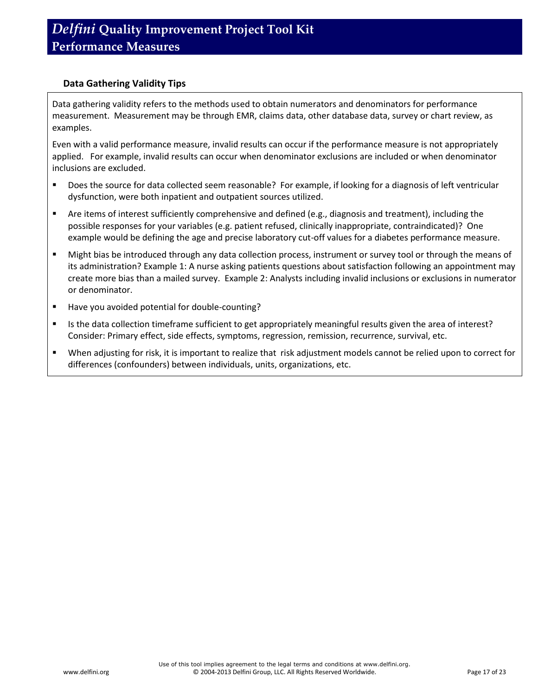#### **Data Gathering Validity Tips**

Data gathering validity refers to the methods used to obtain numerators and denominators for performance measurement. Measurement may be through EMR, claims data, other database data, survey or chart review, as examples.

Even with a valid performance measure, invalid results can occur if the performance measure is not appropriately applied. For example, invalid results can occur when denominator exclusions are included or when denominator inclusions are excluded.

- Does the source for data collected seem reasonable? For example, if looking for a diagnosis of left ventricular dysfunction, were both inpatient and outpatient sources utilized.
- Are items of interest sufficiently comprehensive and defined (e.g., diagnosis and treatment), including the possible responses for your variables (e.g. patient refused, clinically inappropriate, contraindicated)? One example would be defining the age and precise laboratory cut-off values for a diabetes performance measure.
- Might bias be introduced through any data collection process, instrument or survey tool or through the means of its administration? Example 1: A nurse asking patients questions about satisfaction following an appointment may create more bias than a mailed survey. Example 2: Analysts including invalid inclusions or exclusions in numerator or denominator.
- Have you avoided potential for double-counting?
- Is the data collection timeframe sufficient to get appropriately meaningful results given the area of interest? Consider: Primary effect, side effects, symptoms, regression, remission, recurrence, survival, etc.
- When adjusting for risk, it is important to realize that risk adjustment models cannot be relied upon to correct for differences (confounders) between individuals, units, organizations, etc.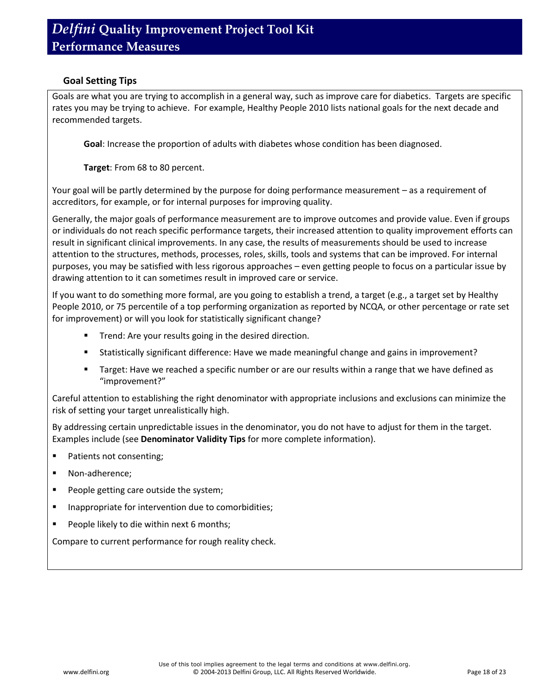#### **Goal Setting Tips**

Goals are what you are trying to accomplish in a general way, such as improve care for diabetics. Targets are specific rates you may be trying to achieve. For example, Healthy People 2010 lists national goals for the next decade and recommended targets.

**Goal**: Increase the proportion of adults with diabetes whose condition has been diagnosed.

**Target**: From 68 to 80 percent.

Your goal will be partly determined by the purpose for doing performance measurement – as a requirement of accreditors, for example, or for internal purposes for improving quality.

Generally, the major goals of performance measurement are to improve outcomes and provide value. Even if groups or individuals do not reach specific performance targets, their increased attention to quality improvement efforts can result in significant clinical improvements. In any case, the results of measurements should be used to increase attention to the structures, methods, processes, roles, skills, tools and systems that can be improved. For internal purposes, you may be satisfied with less rigorous approaches – even getting people to focus on a particular issue by drawing attention to it can sometimes result in improved care or service.

If you want to do something more formal, are you going to establish a trend, a target (e.g., a target set by Healthy People 2010, or 75 percentile of a top performing organization as reported by NCQA, or other percentage or rate set for improvement) or will you look for statistically significant change?

- **Trend: Are your results going in the desired direction.**
- Statistically significant difference: Have we made meaningful change and gains in improvement?
- **Target: Have we reached a specific number or are our results within a range that we have defined as** "improvement?"

Careful attention to establishing the right denominator with appropriate inclusions and exclusions can minimize the risk of setting your target unrealistically high.

By addressing certain unpredictable issues in the denominator, you do not have to adjust for them in the target. Examples include (see **Denominator Validity Tips** for more complete information).

- Patients not consenting;
- Non-adherence;
- **People getting care outside the system;**
- **Inappropriate for intervention due to comorbidities;**
- **People likely to die within next 6 months;**

Compare to current performance for rough reality check.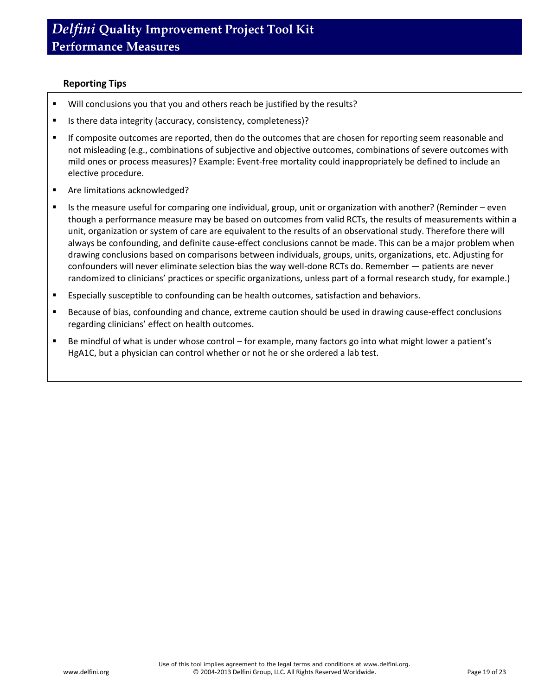#### **Reporting Tips**

- Will conclusions you that you and others reach be justified by the results?
- Is there data integrity (accuracy, consistency, completeness)?
- If composite outcomes are reported, then do the outcomes that are chosen for reporting seem reasonable and not misleading (e.g., combinations of subjective and objective outcomes, combinations of severe outcomes with mild ones or process measures)? Example: Event-free mortality could inappropriately be defined to include an elective procedure.
- **Are limitations acknowledged?**
- Is the measure useful for comparing one individual, group, unit or organization with another? (Reminder even though a performance measure may be based on outcomes from valid RCTs, the results of measurements within a unit, organization or system of care are equivalent to the results of an observational study. Therefore there will always be confounding, and definite cause-effect conclusions cannot be made. This can be a major problem when drawing conclusions based on comparisons between individuals, groups, units, organizations, etc. Adjusting for confounders will never eliminate selection bias the way well-done RCTs do. Remember — patients are never randomized to clinicians' practices or specific organizations, unless part of a formal research study, for example.)
- **Expecially susceptible to confounding can be health outcomes, satisfaction and behaviors.**
- **Because of bias, confounding and chance, extreme caution should be used in drawing cause-effect conclusions** regarding clinicians' effect on health outcomes.
- Be mindful of what is under whose control for example, many factors go into what might lower a patient's HgA1C, but a physician can control whether or not he or she ordered a lab test.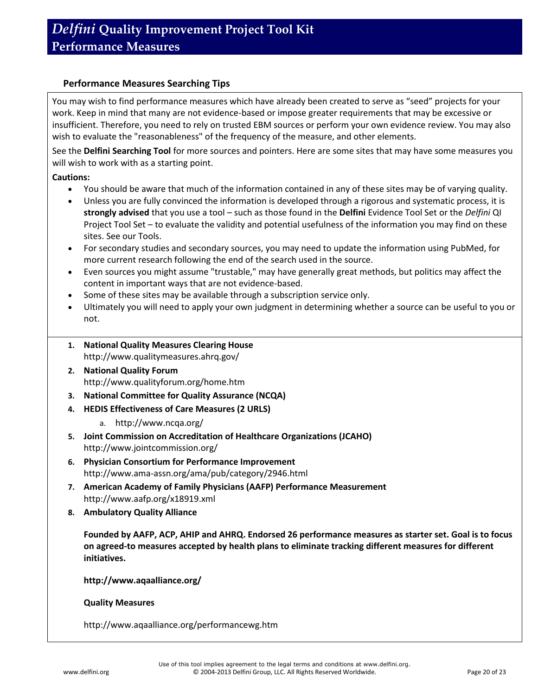#### **Performance Measures Searching Tips**

You may wish to find performance measures which have already been created to serve as "seed" projects for your work. Keep in mind that many are not evidence-based or impose greater requirements that may be excessive or insufficient. Therefore, you need to rely on trusted EBM sources or perform your own evidence review. You may also wish to evaluate the "reasonableness" of the frequency of the measure, and other elements.

See the **Delfini Searching Tool** for more sources and pointers. Here are some sites that may have some measures you will wish to work with as a starting point.

#### **Cautions:**

- You should be aware that much of the information contained in any of these sites may be of varying quality.
- Unless you are fully convinced the information is developed through a rigorous and systematic process, it is **strongly advised** that you use a tool – such as those found in the **Delfini** Evidence Tool Set or the *Delfini* QI Project Tool Set – to evaluate the validity and potential usefulness of the information you may find on these sites. See our [Tools.](http://www.delfini.org/delfiniGood.htm#tools)
- For secondary studies and secondary sources, you may need to update the information using PubMed, for more current research following the end of the search used in the source.
- Even sources you might assume "trustable," may have generally great methods, but politics may affect the content in important ways that are not evidence-based.
- Some of these sites may be available through a subscription service only.
- Ultimately you will need to apply your own judgment in determining whether a source can be useful to you or not.
- **1. National Quality Measures Clearing House** http://www.qualitymeasures.ahrq.gov/
- **2. National Quality Forum**  http://www.qualityforum.org/home.htm
- **3. National Committee for Quality Assurance (NCQA)**
- **4. HEDIS Effectiveness of Care Measures (2 URLS)**
	- a. http://www.ncqa.org/
- **5. Joint Commission on Accreditation of Healthcare Organizations (JCAHO)** http://www.jointcommission.org/
- **6. Physician Consortium for Performance Improvement** <http://www.ama-assn.org/ama/pub/category/2946.html>
- **7. American Academy of Family Physicians (AAFP) Performance Measurement** http://www.aafp.org/x18919.xml
- **8. Ambulatory Quality Alliance**

**Founded by AAFP, ACP, AHIP and AHRQ. Endorsed 26 performance measures as starter set. Goal is to focus on agreed-to measures accepted by health plans to eliminate tracking different measures for different initiatives.**

**http://www.aqaalliance.org/**

**Quality Measures**

http://www.aqaalliance.org/performancewg.htm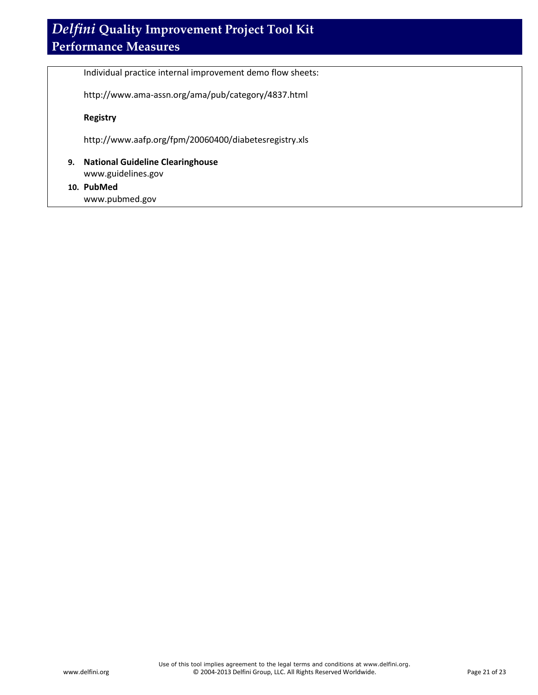Individual practice internal improvement demo flow sheets:

http://www.ama-assn.org/ama/pub/category/4837.html

#### **Registry**

http://www.aafp.org/fpm/20060400/diabetesregistry.xls

**9. National Guideline Clearinghouse** www.guidelines.gov

#### **10. PubMed**

www.pubmed.gov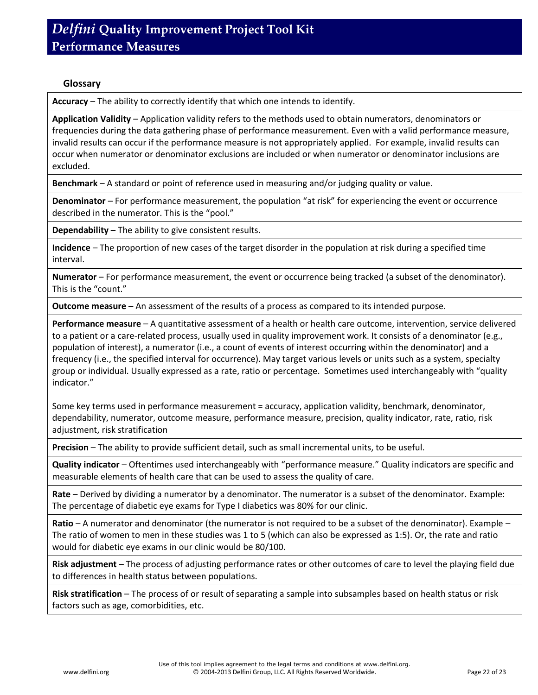#### **Glossary**

**Accuracy** – The ability to correctly identify that which one intends to identify.

**Application Validity** – Application validity refers to the methods used to obtain numerators, denominators or frequencies during the data gathering phase of performance measurement. Even with a valid performance measure, invalid results can occur if the performance measure is not appropriately applied. For example, invalid results can occur when numerator or denominator exclusions are included or when numerator or denominator inclusions are excluded.

**Benchmark** – A standard or point of reference used in measuring and/or judging quality or value.

**Denominator** – For performance measurement, the population "at risk" for experiencing the event or occurrence described in the numerator. This is the "pool."

**Dependability** – The ability to give consistent results.

**Incidence** – The proportion of new cases of the target disorder in the population at risk during a specified time interval.

**Numerator** – For performance measurement, the event or occurrence being tracked (a subset of the denominator). This is the "count."

**Outcome measure** – An assessment of the results of a process as compared to its intended purpose.

**Performance measure** – A quantitative assessment of a health or health care outcome, intervention, service delivered to a patient or a care-related process, usually used in quality improvement work. It consists of a denominator (e.g., population of interest), a numerator (i.e., a count of events of interest occurring within the denominator) and a frequency (i.e., the specified interval for occurrence). May target various levels or units such as a system, specialty group or individual. Usually expressed as a rate, ratio or percentage. Sometimes used interchangeably with "quality indicator."

Some key terms used in performance measurement = accuracy, application validity, benchmark, denominator, dependability, numerator, outcome measure, performance measure, precision, quality indicator, rate, ratio, risk adjustment, risk stratification

**Precision** – The ability to provide sufficient detail, such as small incremental units, to be useful.

**Quality indicator** – Oftentimes used interchangeably with "performance measure." Quality indicators are specific and measurable elements of health care that can be used to assess the quality of care.

**Rate** – Derived by dividing a numerator by a denominator. The numerator is a subset of the denominator. Example: The percentage of diabetic eye exams for Type I diabetics was 80% for our clinic.

**Ratio** – A numerator and denominator (the numerator is not required to be a subset of the denominator). Example – The ratio of women to men in these studies was 1 to 5 (which can also be expressed as 1:5). Or, the rate and ratio would for diabetic eye exams in our clinic would be 80/100.

**Risk adjustment** – The process of adjusting performance rates or other outcomes of care to level the playing field due to differences in health status between populations.

**Risk stratification** – The process of or result of separating a sample into subsamples based on health status or risk factors such as age, comorbidities, etc.